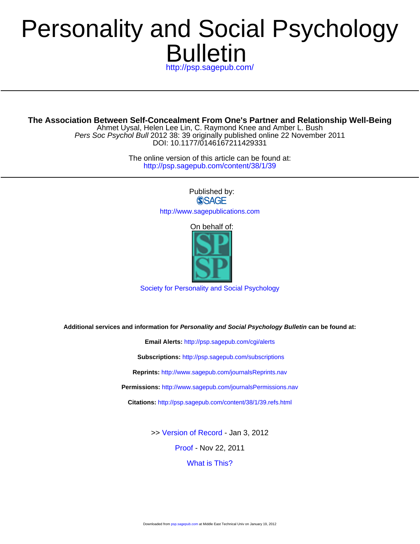# Bulletin Personality and Social Psychology

<http://psp.sagepub.com/>

**The Association Between Self-Concealment From One's Partner and Relationship Well-Being**

DOI: 10.1177/0146167211429331 Pers Soc Psychol Bull 2012 38: 39 originally published online 22 November 2011 Ahmet Uysal, Helen Lee Lin, C. Raymond Knee and Amber L. Bush

> <http://psp.sagepub.com/content/38/1/39> The online version of this article can be found at:

> > Published by:<br>
> > SAGE <http://www.sagepublications.com>

> > > On behalf of:



[Society for Personality and Social Psychology](http://www.spsp.org/)

**Additional services and information for Personality and Social Psychology Bulletin can be found at:**

**Email Alerts:** <http://psp.sagepub.com/cgi/alerts>

**Subscriptions:** <http://psp.sagepub.com/subscriptions>

**Reprints:** <http://www.sagepub.com/journalsReprints.nav>

**Permissions:** <http://www.sagepub.com/journalsPermissions.nav>

**Citations:** <http://psp.sagepub.com/content/38/1/39.refs.html>

>> [Version of Record -](http://psp.sagepub.com/content/38/1/39.full.pdf) Jan 3, 2012

[Proof -](http://psp.sagepub.com/content/early/2011/11/22/0146167211429331.full.pdf) Nov 22, 2011

[What is This?](http://online.sagepub.com/site/sphelp/vorhelp.xhtml)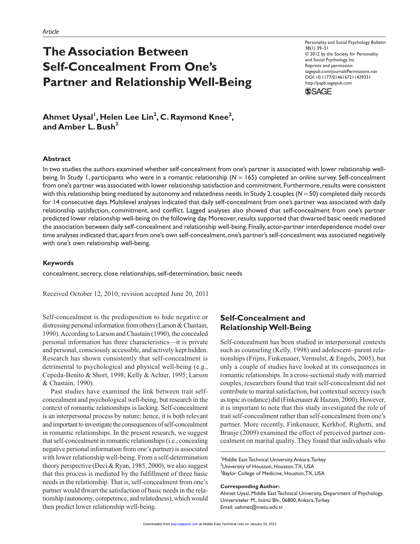# **The Association Between Self-Concealment From One's Partner and Relationship Well-Being**

Personality and Social Psychology Bulletin 38(1) 39–51 © 2012 by the Society for Personality and Social Psychology, Inc Reprints and permission: sagepub.com/journalsPermissions.nav DOI: 10.1177/0146167211429331 http://pspb.sagepub.com **SSAGE** 

Ahmet Uysal<sup>'</sup>, Helen Lee Lin<sup>2</sup>, C. Raymond Knee<sup>2</sup>, **and Amber L. Bush3**

#### **Abstract**

In two studies the authors examined whether self-concealment from one's partner is associated with lower relationship wellbeing. In Study 1, participants who were in a romantic relationship (*N* = 165) completed an online survey. Self-concealment from one's partner was associated with lower relationship satisfaction and commitment. Furthermore, results were consistent with this relationship being mediated by autonomy and relatedness needs. In Study 2, couples (*N* = 50) completed daily records for 14 consecutive days. Multilevel analyses indicated that daily self-concealment from one's partner was associated with daily relationship satisfaction, commitment, and conflict. Lagged analyses also showed that self-concealment from one's partner predicted lower relationship well-being on the following day. Moreover, results supported that thwarted basic needs mediated the association between daily self-concealment and relationship well-being. Finally, actor-partner interdependence model over time analyses indicated that, apart from one's own self-concealment, one's partner's self-concealment was associated negatively with one's own relationship well-being.

#### **Keywords**

concealment, secrecy, close relationships, self-determination, basic needs

Received October 12, 2010; revision accepted June 20, 2011

Self-concealment is the predisposition to hide negative or distressing personal information from others (Larson & Chastain, 1990). According to Larson and Chastain (1990), the concealed personal information has three characteristics—it is private and personal, consciously accessible, and actively kept hidden. Research has shown consistently that self-concealment is detrimental to psychological and physical well-being (e.g., Cepeda-Benito & Short, 1998; Kelly & Achter, 1995; Larson & Chastain, 1990).

Past studies have examined the link between trait selfconcealment and psychological well-being, but research in the context of romantic relationships is lacking. Self-concealment is an interpersonal process by nature; hence, it is both relevant and important to investigate the consequences of self-concealment in romantic relationships. In the present research, we suggest that self-concealment in romantic relationships (i.e., concealing negative personal information from one's partner) is associated with lower relationship well-being. From a self-determination theory perspective (Deci & Ryan, 1985, 2000), we also suggest that this process is mediated by the fulfillment of three basic needs in the relationship. That is, self-concealment from one's partner would thwart the satisfaction of basic needs in the relationship (autonomy, competence, and relatedness), which would then predict lower relationship well-being.

# **Self-Concealment and Relationship Well-Being**

Self-concealment has been studied in interpersonal contexts such as counseling (Kelly, 1998) and adolescent–parent relationships (Frijns, Finkenauer, Vermulst, & Engels, 2005), but only a couple of studies have looked at its consequences in romantic relationships. In a cross-sectional study with married couples, researchers found that trait self-concealment did not contribute to marital satisfaction, but contextual secrecy (such as topic avoidance) did (Finkenauer & Hazam, 2000). However, it is important to note that this study investigated the role of trait self-concealment rather than self-concealment from one's partner. More recently, Finkenauer, Kerkhof, Righetti, and Branje (2009) examined the effect of perceived partner concealment on marital quality. They found that individuals who

<sup>1</sup>Middle East Technical University, Ankara, Turkey <sup>2</sup>University of Houston, Houston, TX, USA  $^3$ Baylor College of Medicine, Houston, TX, USA

**Corresponding Author:**

Ahmet Uysal, Middle East Technical University, Department of Psychology, Universiteler M., Inönü Blv., 06800, Ankara, Turkey Email: uahmet@metu.edu.tr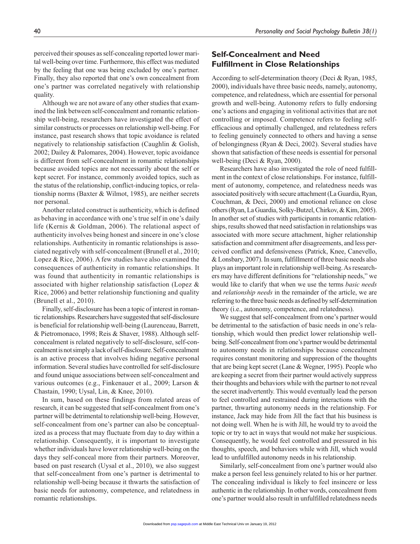40 *Personality and Social Psychology Bulletin 38(1)*

perceived their spouses as self-concealing reported lower marital well-being over time. Furthermore, this effect was mediated by the feeling that one was being excluded by one's partner. Finally, they also reported that one's own concealment from one's partner was correlated negatively with relationship quality.

Although we are not aware of any other studies that examined the link between self-concealment and romantic relationship well-being, researchers have investigated the effect of similar constructs or processes on relationship well-being. For instance, past research shows that topic avoidance is related negatively to relationship satisfaction (Caughlin & Golish, 2002; Dailey & Palomares, 2004). However, topic avoidance is different from self-concealment in romantic relationships because avoided topics are not necessarily about the self or kept secret. For instance, commonly avoided topics, such as the status of the relationship, conflict-inducing topics, or relationship norms (Baxter & Wilmot, 1985), are neither secrets nor personal.

Another related construct is authenticity, which is defined as behaving in accordance with one's true self in one's daily life (Kernis & Goldman, 2006). The relational aspect of authenticity involves being honest and sincere in one's close relationships. Authenticity in romantic relationships is associated negatively with self-concealment (Brunell et al., 2010; Lopez & Rice, 2006). A few studies have also examined the consequences of authenticity in romantic relationships. It was found that authenticity in romantic relationships is associated with higher relationship satisfaction (Lopez & Rice, 2006) and better relationship functioning and quality (Brunell et al., 2010).

Finally, self-disclosure has been a topic of interest in romantic relationships. Researchers have suggested that self-disclosure is beneficial for relationship well-being (Laurenceau, Barrett, & Pietromonaco, 1998; Reis & Shaver, 1988). Although selfconcealment is related negatively to self-disclosure, self-concealment is not simply a lack of self-disclosure. Self-concealment is an active process that involves hiding negative personal information. Several studies have controlled for self-disclosure and found unique associations between self-concealment and various outcomes (e.g., Finkenauer et al., 2009; Larson & Chastain, 1990; Uysal, Lin, & Knee, 2010).

In sum, based on these findings from related areas of research, it can be suggested that self-concealment from one's partner will be detrimental to relationship well-being. However, self-concealment from one's partner can also be conceptualized as a process that may fluctuate from day to day within a relationship. Consequently, it is important to investigate whether individuals have lower relationship well-being on the days they self-conceal more from their partners. Moreover, based on past research (Uysal et al., 2010), we also suggest that self-concealment from one's partner is detrimental to relationship well-being because it thwarts the satisfaction of basic needs for autonomy, competence, and relatedness in romantic relationships.

# **Self-Concealment and Need Fulfillment in Close Relationships**

According to self-determination theory (Deci & Ryan, 1985, 2000), individuals have three basic needs, namely, autonomy, competence, and relatedness, which are essential for personal growth and well-being. Autonomy refers to fully endorsing one's actions and engaging in volitional activities that are not controlling or imposed. Competence refers to feeling selfefficacious and optimally challenged, and relatedness refers to feeling genuinely connected to others and having a sense of belongingness (Ryan & Deci, 2002). Several studies have shown that satisfaction of these needs is essential for personal well-being (Deci & Ryan, 2000).

Researchers have also investigated the role of need fulfillment in the context of close relationships. For instance, fulfillment of autonomy, competence, and relatedness needs was associated positively with secure attachment (La Guardia, Ryan, Couchman, & Deci, 2000) and emotional reliance on close others (Ryan, La Guardia, Solky-Butzel, Chirkov, & Kim, 2005). In another set of studies with participants in romantic relationships, results showed that need satisfaction in relationships was associated with more secure attachment, higher relationship satisfaction and commitment after disagreements, and less perceived conflict and defensiveness (Patrick, Knee, Canevello, & Lonsbary, 2007). In sum, fulfillment of three basic needs also plays an important role in relationship well-being. As researchers may have different definitions for "relationship needs," we would like to clarify that when we use the terms *basic needs* and *relationship needs* in the remainder of the article, we are referring to the three basic needs as defined by self-determination theory (i.e., autonomy, competence, and relatedness).

We suggest that self-concealment from one's partner would be detrimental to the satisfaction of basic needs in one's relationship, which would then predict lower relationship wellbeing. Self-concealment from one's partner would be detrimental to autonomy needs in relationships because concealment requires constant monitoring and suppression of the thoughts that are being kept secret (Lane & Wegner, 1995). People who are keeping a secret from their partner would actively suppress their thoughts and behaviors while with the partner to not reveal the secret inadvertently. This would eventually lead the person to feel controlled and restrained during interactions with the partner, thwarting autonomy needs in the relationship. For instance, Jack may hide from Jill the fact that his business is not doing well. When he is with Jill, he would try to avoid the topic or try to act in ways that would not make her suspicious. Consequently, he would feel controlled and pressured in his thoughts, speech, and behaviors while with Jill, which would lead to unfulfilled autonomy needs in his relationship.

Similarly, self-concealment from one's partner would also make a person feel less genuinely related to his or her partner. The concealing individual is likely to feel insincere or less authentic in the relationship. In other words, concealment from one's partner would also result in unfulfilled relatedness needs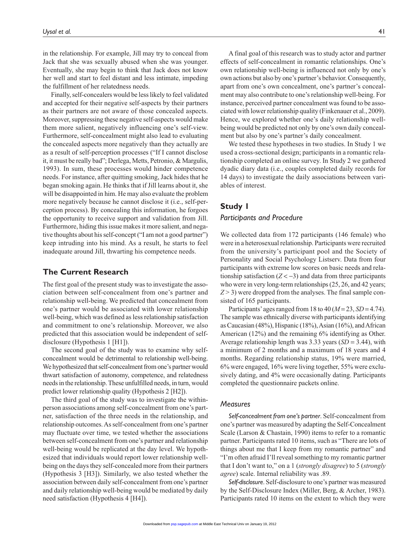in the relationship. For example, Jill may try to conceal from Jack that she was sexually abused when she was younger. Eventually, she may begin to think that Jack does not know her well and start to feel distant and less intimate, impeding the fulfillment of her relatedness needs.

Finally, self-concealers would be less likely to feel validated and accepted for their negative self-aspects by their partners as their partners are not aware of those concealed aspects. Moreover, suppressing these negative self-aspects would make them more salient, negatively influencing one's self-view. Furthermore, self-concealment might also lead to evaluating the concealed aspects more negatively than they actually are as a result of self-perception processes ("If I cannot disclose it, it must be really bad"; Derlega, Metts, Petronio, & Margulis, 1993). In sum, these processes would hinder competence needs. For instance, after quitting smoking, Jack hides that he began smoking again. He thinks that if Jill learns about it, she will be disappointed in him. He may also evaluate the problem more negatively because he cannot disclose it (i.e., self-perception process). By concealing this information, he forgoes the opportunity to receive support and validation from Jill. Furthermore, hiding this issue makes it more salient, and negative thoughts about his self-concept ("I am not a good partner") keep intruding into his mind. As a result, he starts to feel inadequate around Jill, thwarting his competence needs.

# **The Current Research**

The first goal of the present study was to investigate the association between self-concealment from one's partner and relationship well-being. We predicted that concealment from one's partner would be associated with lower relationship well-being, which was defined as less relationship satisfaction and commitment to one's relationship. Moreover, we also predicted that this association would be independent of selfdisclosure (Hypothesis 1 [H1]).

The second goal of the study was to examine why selfconcealment would be detrimental to relationship well-being. We hypothesized that self-concealment from one's partner would thwart satisfaction of autonomy, competence, and relatedness needs in the relationship. These unfulfilled needs, in turn, would predict lower relationship quality (Hypothesis 2 [H2]).

The third goal of the study was to investigate the withinperson associations among self-concealment from one's partner, satisfaction of the three needs in the relationship, and relationship outcomes. As self-concealment from one's partner may fluctuate over time, we tested whether the associations between self-concealment from one's partner and relationship well-being would be replicated at the day level. We hypothesized that individuals would report lower relationship wellbeing on the days they self-concealed more from their partners (Hypothesis 3 [H3]). Similarly, we also tested whether the association between daily self-concealment from one's partner and daily relationship well-being would be mediated by daily need satisfaction (Hypothesis 4 [H4]).

A final goal of this research was to study actor and partner effects of self-concealment in romantic relationships. One's own relationship well-being is influenced not only by one's own actions but also by one's partner's behavior. Consequently, apart from one's own concealment, one's partner's concealment may also contribute to one's relationship well-being. For instance, perceived partner concealment was found to be associated with lower relationship quality (Finkenauer et al., 2009). Hence, we explored whether one's daily relationship wellbeing would be predicted not only by one's own daily concealment but also by one's partner's daily concealment.

We tested these hypotheses in two studies. In Study 1 we used a cross-sectional design; participants in a romantic relationship completed an online survey. In Study 2 we gathered dyadic diary data (i.e., couples completed daily records for 14 days) to investigate the daily associations between variables of interest.

# **Study 1**

#### *Participants and Procedure*

We collected data from 172 participants (146 female) who were in a heterosexual relationship. Participants were recruited from the university's participant pool and the Society of Personality and Social Psychology Listserv. Data from four participants with extreme low scores on basic needs and relationship satisfaction (*Z* < −3) and data from three participants who were in very long-term relationships (25, 26, and 42 years; *Z* > 3) were dropped from the analyses. The final sample consisted of 165 participants.

Participants' ages ranged from 18 to 40 ( $M = 23$ ,  $SD = 4.74$ ). The sample was ethnically diverse with participants identifying as Caucasian (48%), Hispanic (18%), Asian (16%), and African American (12%) and the remaining 6% identifying as Other. Average relationship length was 3.33 years (*SD* = 3.44), with a minimum of 2 months and a maximum of 18 years and 4 months. Regarding relationship status, 19% were married, 6% were engaged, 16% were living together, 55% were exclusively dating, and 4% were occasionally dating. Participants completed the questionnaire packets online.

# *Measures*

*Self-concealment from one's partner*. Self-concealment from one's partner was measured by adapting the Self-Concealment Scale (Larson & Chastain, 1990) items to refer to a romantic partner. Participants rated 10 items, such as "There are lots of things about me that I keep from my romantic partner" and "I'm often afraid I'll reveal something to my romantic partner that I don't want to," on a 1 (*strongly disagree*) to 5 (*strongly agree*) scale. Internal reliability was .89.

*Self-disclosure*. Self-disclosure to one's partner was measured by the Self-Disclosure Index (Miller, Berg, & Archer, 1983). Participants rated 10 items on the extent to which they were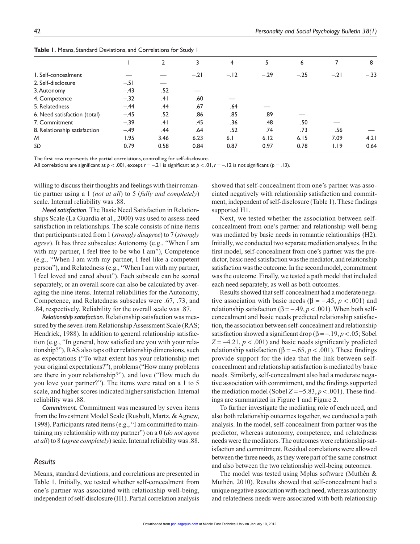|                              |             |      | 3      | 4      | 5      | 6      |        | 8      |
|------------------------------|-------------|------|--------|--------|--------|--------|--------|--------|
| I. Self-concealment          |             |      | $-.21$ | $-.12$ | $-.29$ | $-.25$ | $-.21$ | $-.33$ |
| 2. Self-disclosure           | $-.51$      |      |        |        |        |        |        |        |
| 3. Autonomy                  | $-.43$      | .52  |        |        |        |        |        |        |
| 4. Competence                | $-.32$      | .41  | .60    |        |        |        |        |        |
| 5. Relatedness               | $-.44$      | .44  | .67    | .64    |        |        |        |        |
| 6. Need satisfaction (total) | $-.45$      | .52  | .86    | .85    | .89    |        |        |        |
| 7. Commitment                | $-.39$      | .41  | .45    | .36    | .48    | .50    |        |        |
| 8. Relationship satisfaction | $-.49$      | .44  | .64    | .52    | .74    | .73    | .56    |        |
| M                            | <b>1.95</b> | 3.46 | 6.23   | 6.1    | 6.12   | 6.15   | 7.09   | 4.21   |
| SD                           | 0.79        | 0.58 | 0.84   | 0.87   | 0.97   | 0.78   | 1.19   | 0.64   |

**Table 1.** Means, Standard Deviations, and Correlations for Study 1

The first row represents the partial correlations, controlling for self-disclosure.

All correlations are significant at *p* < .001, except *r* = −.21 is significant at *p* < .01, *r* = −.12 is not significant (*p* = .13).

willing to discuss their thoughts and feelings with their romantic partner using a 1 (*not at all*) to 5 (*fully and completely*) scale. Internal reliability was .88.

*Need satisfaction*. The Basic Need Satisfaction in Relationships Scale (La Guardia et al., 2000) was used to assess need satisfaction in relationships. The scale consists of nine items that participants rated from 1 (*strongly disagree*) to 7 (*strongly agree*). It has three subscales: Autonomy (e.g., "When I am with my partner, I feel free to be who I am"), Competence (e.g., "When I am with my partner, I feel like a competent person"), and Relatedness (e.g., "When I am with my partner, I feel loved and cared about"). Each subscale can be scored separately, or an overall score can also be calculated by averaging the nine items. Internal reliabilities for the Autonomy, Competence, and Relatedness subscales were .67, .73, and .84, respectively. Reliability for the overall scale was .87.

*Relationship satisfaction*. Relationship satisfaction was measured by the seven-item Relationship Assessment Scale (RAS; Hendrick, 1988). In addition to general relationship satisfaction (e.g., "In general, how satisfied are you with your relationship?"), RAS also taps other relationship dimensions, such as expectations ("To what extent has your relationship met your original expectations?"), problems ("How many problems are there in your relationship?"), and love ("How much do you love your partner?"). The items were rated on a 1 to 5 scale, and higher scores indicated higher satisfaction. Internal reliability was .88.

*Commitment*. Commitment was measured by seven items from the Investment Model Scale (Rusbult, Martz, & Agnew, 1998). Participants rated items (e.g., "I am committed to maintaining my relationship with my partner") on a 0 (*do not agree at all*) to 8 (*agree completely*) scale. Internal reliability was .88.

#### *Results*

Means, standard deviations, and correlations are presented in Table 1. Initially, we tested whether self-concealment from one's partner was associated with relationship well-being, independent of self-disclosure (H1). Partial correlation analysis showed that self-concealment from one's partner was associated negatively with relationship satisfaction and commitment, independent of self-disclosure (Table 1). These findings supported H1.

Next, we tested whether the association between selfconcealment from one's partner and relationship well-being was mediated by basic needs in romantic relationships (H2). Initially, we conducted two separate mediation analyses. In the first model, self-concealment from one's partner was the predictor, basic need satisfaction was the mediator, and relationship satisfaction was the outcome. In the second model, commitment was the outcome. Finally, we tested a path model that included each need separately, as well as both outcomes.

Results showed that self-concealment had a moderate negative association with basic needs ( $\beta = -.45, p < .001$ ) and relationship satisfaction ( $β = -.49, p < .001$ ). When both selfconcealment and basic needs predicted relationship satisfaction, the association between self-concealment and relationship satisfaction showed a significant drop ( $\beta = -19, p < 0.05$ ; Sobel  $Z = -4.21$ ,  $p < .001$ ) and basic needs significantly predicted relationship satisfaction ( $β = -.65, p < .001$ ). These findings provide support for the idea that the link between selfconcealment and relationship satisfaction is mediated by basic needs. Similarly, self-concealment also had a moderate negative association with commitment, and the findings supported the mediation model (Sobel  $Z = -5.83$ ,  $p < .001$ ). These findings are summarized in Figure 1 and Figure 2.

To further investigate the mediating role of each need, and also both relationship outcomes together, we conducted a path analysis. In the model, self-concealment from partner was the predictor, whereas autonomy, competence, and relatedness needs were the mediators. The outcomes were relationship satisfaction and commitment. Residual correlations were allowed between the three needs, as they were part of the same construct and also between the two relationship well-being outcomes.

The model was tested using Mplus software (Muthén & Muthén, 2010). Results showed that self-concealment had a unique negative association with each need, whereas autonomy and relatedness needs were associated with both relationship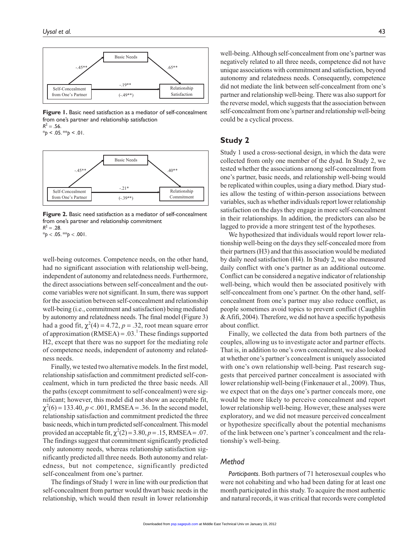

**Figure 1.** Basic need satisfaction as a mediator of self-concealment from one's partner and relationship satisfaction  $R^2 = .56$ .

 $*_{p}$  < .05.  $*_{p}$  < .01.



**Figure 2.** Basic need satisfaction as a mediator of self-concealment from one's partner and relationship commitment  $R^2 = .28$ .

 $*$ *p* < .05.  $*$ <sup>\*</sup>*p* < .001.

well-being outcomes. Competence needs, on the other hand, had no significant association with relationship well-being, independent of autonomy and relatedness needs. Furthermore, the direct associations between self-concealment and the outcome variables were not significant. In sum, there was support for the association between self-concealment and relationship well-being (i.e., commitment and satisfaction) being mediated by autonomy and relatedness needs. The final model (Figure 3) had a good fit,  $\chi^2(4) = 4.72$ ,  $p = .32$ , root mean square error of approximation  $(RMSEA) = .03$ <sup>1</sup> These findings supported H2, except that there was no support for the mediating role of competence needs, independent of autonomy and relatedness needs.

Finally, we tested two alternative models. In the first model, relationship satisfaction and commitment predicted self-concealment, which in turn predicted the three basic needs. All the paths (except commitment to self-concealment) were significant; however, this model did not show an acceptable fit,  $\chi^2(6) = 133.40, p < .001, RMSEA = .36$ . In the second model, relationship satisfaction and commitment predicted the three basic needs, which in turn predicted self-concealment. This model provided an acceptable fit,  $\chi^2(2) = 3.80, p = .15, RMSEA = .07$ . The findings suggest that commitment significantly predicted only autonomy needs, whereas relationship satisfaction significantly predicted all three needs. Both autonomy and relatedness, but not competence, significantly predicted self-concealment from one's partner.

The findings of Study 1 were in line with our prediction that self-concealment from partner would thwart basic needs in the relationship, which would then result in lower relationship

well-being. Although self-concealment from one's partner was negatively related to all three needs, competence did not have unique associations with commitment and satisfaction, beyond autonomy and relatedness needs. Consequently, competence did not mediate the link between self-concealment from one's partner and relationship well-being. There was also support for the reverse model, which suggests that the association between self-concealment from one's partner and relationship well-being could be a cyclical process.

# **Study 2**

Study 1 used a cross-sectional design, in which the data were collected from only one member of the dyad. In Study 2, we tested whether the associations among self-concealment from one's partner, basic needs, and relationship well-being would be replicated within couples, using a diary method. Diary studies allow the testing of within-person associations between variables, such as whether individuals report lower relationship satisfaction on the days they engage in more self-concealment in their relationships. In addition, the predictors can also be lagged to provide a more stringent test of the hypotheses.

We hypothesized that individuals would report lower relationship well-being on the days they self-concealed more from their partners (H3) and that this association would be mediated by daily need satisfaction (H4). In Study 2, we also measured daily conflict with one's partner as an additional outcome. Conflict can be considered a negative indicator of relationship well-being, which would then be associated positively with self-concealment from one's partner. On the other hand, selfconcealment from one's partner may also reduce conflict, as people sometimes avoid topics to prevent conflict (Caughlin & Afifi, 2004). Therefore, we did not have a specific hypothesis about conflict.

Finally, we collected the data from both partners of the couples, allowing us to investigate actor and partner effects. That is, in addition to one's own concealment, we also looked at whether one's partner's concealment is uniquely associated with one's own relationship well-being. Past research suggests that perceived partner concealment is associated with lower relationship well-being (Finkenauer et al., 2009). Thus, we expect that on the days one's partner conceals more, one would be more likely to perceive concealment and report lower relationship well-being. However, these analyses were exploratory, and we did not measure perceived concealment or hypothesize specifically about the potential mechanisms of the link between one's partner's concealment and the relationship's well-being.

# *Method*

*Participants*. Both partners of 71 heterosexual couples who were not cohabiting and who had been dating for at least one month participated in this study. To acquire the most authentic and natural records, it was critical that records were completed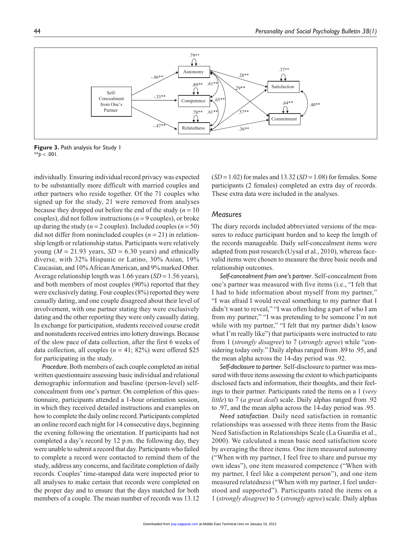

**Figure 3.** Path analysis for Study 1  $*$ *p* < .001.

individually. Ensuring individual record privacy was expected to be substantially more difficult with married couples and other partners who reside together. Of the 71 couples who signed up for the study, 21 were removed from analyses because they dropped out before the end of the study (*n* = 10 couples), did not follow instructions (*n* = 9 couples), or broke up during the study ( $n = 2$  couples). Included couples ( $n = 50$ ) did not differ from nonincluded couples  $(n = 21)$  in relationship length or relationship status. Participants were relatively young ( $M = 21.93$  years,  $SD = 6.30$  years) and ethnically diverse, with 32% Hispanic or Latino, 30% Asian, 19% Caucasian, and 10% African American, and 9% marked Other. Average relationship length was 1.66 years (*SD* = 1.56 years), and both members of most couples (90%) reported that they were exclusively dating. Four couples (8%) reported they were casually dating, and one couple disagreed about their level of involvement, with one partner stating they were exclusively dating and the other reporting they were only casually dating. In exchange for participation, students received course credit and nonstudents received entries into lottery drawings. Because of the slow pace of data collection, after the first 6 weeks of data collection, all couples  $(n = 41; 82%)$  were offered \$25 for participating in the study.

*Procedure*. Both members of each couple completed an initial written questionnaire assessing basic individual and relational demographic information and baseline (person-level) selfconcealment from one's partner. On completion of this questionnaire, participants attended a 1-hour orientation session, in which they received detailed instructions and examples on how to complete the daily online record. Participants completed an online record each night for 14 consecutive days, beginning the evening following the orientation. If participants had not completed a day's record by 12 p.m. the following day, they were unable to submit a record that day. Participants who failed to complete a record were contacted to remind them of the study, address any concerns, and facilitate completion of daily records. Couples' time-stamped data were inspected prior to all analyses to make certain that records were completed on the proper day and to ensure that the days matched for both members of a couple. The mean number of records was 13.12 (*SD* = 1.02) for males and 13.32 (*SD* = 1.08) for females. Some participants (2 females) completed an extra day of records. These extra data were included in the analyses.

# *Measures*

The diary records included abbreviated versions of the measures to reduce participant burden and to keep the length of the records manageable. Daily self-concealment items were adapted from past research (Uysal et al., 2010), whereas facevalid items were chosen to measure the three basic needs and relationship outcomes.

*Self-concealment from one's partner*. Self-concealment from one's partner was measured with five items (i.e., "I felt that I had to hide information about myself from my partner," "I was afraid I would reveal something to my partner that I didn't want to reveal," "I was often hiding a part of who I am from my partner," "I was pretending to be someone I'm not while with my partner," "I felt that my partner didn't know what I'm really like") that participants were instructed to rate from 1 (*strongly disagree*) to 7 (*strongly agree*) while "considering today only." Daily alphas ranged from .89 to .95, and the mean alpha across the 14-day period was .92.

*Self-disclosure to partner*. Self-disclosure to partner was measured with three items assessing the extent to which participants disclosed facts and information, their thoughts, and their feelings to their partner. Participants rated the items on a 1 (*very little*) to 7 (*a great deal*) scale. Daily alphas ranged from .92 to .97, and the mean alpha across the 14-day period was .95.

*Need satisfaction*. Daily need satisfaction in romantic relationships was assessed with three items from the Basic Need Satisfaction in Relationships Scale (La Guardia et al., 2000). We calculated a mean basic need satisfaction score by averaging the three items. One item measured autonomy ("When with my partner, I feel free to share and pursue my own ideas"), one item measured competence ("When with my partner, I feel like a competent person"), and one item measured relatedness ("When with my partner, I feel understood and supported"). Participants rated the items on a 1 (*strongly disagree*) to 5 (*strongly agree*) scale. Daily alphas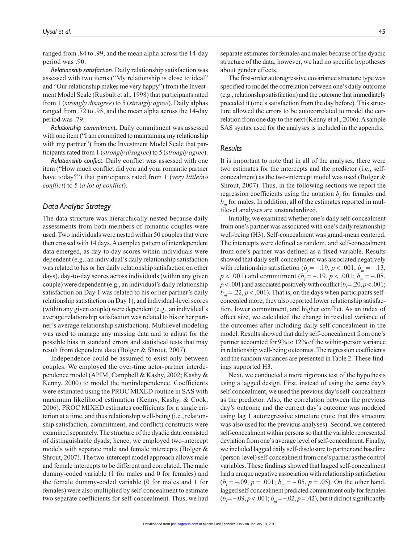ranged from .84 to .99, and the mean alpha across the 14-day period was .90.

*Relationship satisfaction*. Daily relationship satisfaction was assessed with two items ("My relationship is close to ideal" and "Our relationship makes me very happy") from the Investment Model Scale (Rusbult et al., 1998) that participants rated from 1 (*strongly disagree*) to 5 (*strongly agree*). Daily alphas ranged from .72 to .95, and the mean alpha across the 14-day period was .79.

*Relationship commitment*. Daily commitment was assessed with one item ("I am committed to maintaining my relationship with my partner") from the Investment Model Scale that participants rated from 1 (*strongly disagree*) to 5 (*strongly agree*).

*Relationship conflict*. Daily conflict was assessed with one item ("How much conflict did you and your romantic partner have today?") that participants rated from 1 (*very little/no conflict*) to 5 (*a lot of conflict*).

#### *Data Analytic Strategy*

The data structure was hierarchically nested because daily assessments from both members of romantic couples were used. Two individuals were nested within 50 couples that were then crossed with 14 days. A complex pattern of interdependent data emerged, as day-to-day scores within individuals were dependent (e.g., an individual's daily relationship satisfaction was related to his or her daily relationship satisfaction on other days), day-to-day scores across individuals (within any given couple) were dependent (e.g., an individual's daily relationship satisfaction on Day 1 was related to his or her partner's daily relationship satisfaction on Day 1), and individual-level scores (within any given couple) were dependent (e.g., an individual's average relationship satisfaction was related to his or her partner's average relationship satisfaction). Multilevel modeling was used to manage any missing data and to adjust for the possible bias in standard errors and statistical tests that may result from dependent data (Bolger & Shrout, 2007).

Independence could be assumed to exist only between couples. We employed the over-time actor-partner interdependence model (APIM; Campbell & Kashy, 2002; Kashy & Kenny, 2000) to model the nonindependence. Coefficients were estimated using the PROC MIXED routine in SAS with maximum likelihood estimation (Kenny, Kashy, & Cook, 2006). PROC MIXED estimates coefficients for a single criterion at a time, and thus relationship well-being (i.e., relationship satisfaction, commitment, and conflict) constructs were examined separately. The structure of the dyadic data consisted of distinguishable dyads; hence, we employed two-intercept models with separate male and female intercepts (Bolger & Shrout, 2007). The two-intercept model approach allows male and female intercepts to be different and correlated. The male dummy-coded variable (1 for males and 0 for females) and the female dummy-coded variable (0 for males and 1 for females) were also multiplied by self-concealment to estimate two separate coefficients for self-concealment. Thus, we had

separate estimates for females and males because of the dyadic structure of the data; however, we had no specific hypotheses about gender effects.

The first-order autoregressive covariance structure type was specified to model the correlation between one's daily outcome (e.g., relationship satisfaction) and the outcome that immediately preceded it (one's satisfaction from the day before). This structure allowed the errors to be autocorrelated to model the correlation from one day to the next (Kenny et al., 2006). A sample SAS syntax used for the analyses is included in the appendix.

### *Results*

It is important to note that in all of the analyses, there were two estimates for the intercepts and the predictor (i.e., selfconcealment) as the two-intercept model was used (Bolger & Shrout, 2007). Thus, in the following sections we report the regression coefficients using the notation  $b_f$  for females and *bm* for males. In addition, all of the estimates reported in multilevel analyses are unstandardized.

Initially, we examined whether one's daily self-concealment from one's partner was associated with one's daily relationship well-being (H3). Self-concealment was grand-mean centered. The intercepts were defined as random, and self-concealment from one's partner was defined as a fixed variable. Results showed that daily self-concealment was associated negatively with relationship satisfaction ( $b_f$  = -.19,  $p$  < .001;  $b_m$  = -.13, *p* < .001) and commitment  $(b_f = -.19, p < .001; b_m = -.08,$  $p < .001$ ) and associated positively with conflict ( $b_f = .20, p < .001$ ;  $b_m = .22, p < .001$ ). That is, on the days when participants selfconcealed more, they also reported lower relationship satisfaction, lower commitment, and higher conflict. As an index of effect size, we calculated the change in residual variance of the outcomes after including daily self-concealment in the model. Results showed that daily self-concealment from one's partner accounted for 9% to 12% of the within-person variance in relationship well-being outcomes. The regression coefficients and the random variances are presented in Table 2. These findings supported H3.

Next, we conducted a more rigorous test of the hypothesis using a lagged design. First, instead of using the same day's self-concealment, we used the previous day's self-concealment as the predictor. Also, the correlation between the previous day's outcome and the current day's outcome was modeled using lag 1 autoregressive structure (note that this structure was also used for the previous analyses). Second, we centered self-concealment within persons so that the variable represented deviation from one's average level of self-concealment. Finally, we included lagged daily self-disclosure to partner and baseline (person-level) self-concealment from one's partner as the control variables. These findings showed that lagged self-concealment had a unique negative association with relationship satisfaction  $(b_f = -.09, p = .001; b_m = -.05, p = .05)$ . On the other hand, lagged self-concealment predicted commitment only for females  $(b_f = -0.09, p < 0.001; b_m = -0.02, p = 0.42)$ , but it did not significantly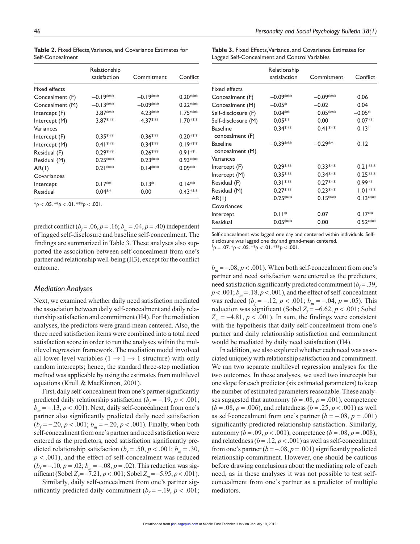|                      | Relationship<br>satisfaction | Commitment | Conflict  |
|----------------------|------------------------------|------------|-----------|
| <b>Fixed effects</b> |                              |            |           |
| Concealment (F)      | $-0.19***$                   | $-0.19***$ | $0.20***$ |
| Concealment (M)      | $-0.13***$                   | $-0.09***$ | $0.22***$ |
| Intercept (F)        | $3.87***$                    | $4.23***$  | $1.75***$ |
| Intercept (M)        | 3.87***                      | 4.37***    | $1.70***$ |
| Variances            |                              |            |           |
| Intercept (F)        | $0.35***$                    | $0.36***$  | $0.20***$ |
| Intercept (M)        | $0.41***$                    | $0.34***$  | $0.19***$ |
| Residual (F)         | $0.29***$                    | $0.26***$  | $0.91**$  |
| Residual (M)         | $0.25***$                    | $0.23***$  | $0.93***$ |
| AR(1)                | $0.21***$                    | $0.14***$  | $0.09**$  |
| Covariances          |                              |            |           |
| Intercept            | $0.17**$                     | $0.13*$    | $0.14**$  |
| Residual             | $0.04**$                     | 0.00       | $0.43***$ |

**Table 2.** Fixed Effects, Variance, and Covariance Estimates for Self-Concealment

 $*_{p}$  < .05.  $*_{p}$  < .01.  $*_{p}$  < .001.

predict conflict  $(b_f = .06, p = .16; b_m = .04, p = .40)$  independent of lagged self-disclosure and baseline self-concealment. The findings are summarized in Table 3. These analyses also supported the association between self-concealment from one's partner and relationship well-being (H3), except for the conflict outcome.

#### *Mediation Analyses*

Next, we examined whether daily need satisfaction mediated the association between daily self-concealment and daily relationship satisfaction and commitment (H4). For the mediation analyses, the predictors were grand-mean centered. Also, the three need satisfaction items were combined into a total need satisfaction score in order to run the analyses within the multilevel regression framework. The mediation model involved all lower-level variables ( $1 \rightarrow 1 \rightarrow 1$  structure) with only random intercepts; hence, the standard three-step mediation method was applicable by using the estimates from multilevel equations (Krull & MacKinnon, 2001).

First, daily self-concealment from one's partner significantly predicted daily relationship satisfaction  $(b_f = -.19, p < .001;$  $b_m = -0.13$ ,  $p < 0.001$ ). Next, daily self-concealment from one's partner also significantly predicted daily need satisfaction  $(b_f = -.20, p < .001; b_m = -.20, p < .001)$ . Finally, when both self-concealment from one's partner and need satisfaction were entered as the predictors, need satisfaction significantly predicted relationship satisfaction ( $b_f$  = .50,  $p$  < .001;  $b_m$  = .30, *p* < .001), and the effect of self-concealment was reduced  $(b_f = -.10, p = .02; b_m = -.08, p = .02)$ . This reduction was significant (Sobel  $Z_f = -7.21, p < .001$ ; Sobel  $Z_m = -5.95, p < .001$ ).

Similarly, daily self-concealment from one's partner significantly predicted daily commitment  $(b_f = -.19, p < .001;$ 

|  |  |                                               | Table 3. Fixed Effects, Variance, and Covariance Estimates for |  |
|--|--|-----------------------------------------------|----------------------------------------------------------------|--|
|  |  | Lagged Self-Concealment and Control Variables |                                                                |  |

|                                    | Relationship<br>satisfaction | Commitment | Conflict   |
|------------------------------------|------------------------------|------------|------------|
| Fixed effects                      |                              |            |            |
| Concealment (F)                    | $-0.09***$                   | $-0.09***$ | 0.06       |
| Concealment (M)                    | $-0.05*$                     | $-0.02$    | 0.04       |
| Self-disclosure (F)                | $0.04**$                     | $0.05***$  | $-0.05*$   |
| Self-disclosure (M)                | $0.05**$                     | 0.00       | $-0.07**$  |
| <b>Baseline</b><br>concealment (F) | $-0.34***$                   | $-0.41***$ | $0.13^{+}$ |
| <b>Baseline</b><br>concealment (M) | $-0.39***$                   | $-0.29**$  | 0.12       |
| Variances                          |                              |            |            |
| Intercept (F)                      | $0.29***$                    | $0.33***$  | $0.21***$  |
| Intercept (M)                      | $0.35***$                    | $0.34***$  | $0.25***$  |
| Residual (F)                       | $0.31***$                    | $0.27***$  | 0.99**     |
| Residual (M)                       | $0.27***$                    | $0.23***$  | $1.01***$  |
| AR(1)                              | $0.25***$                    | $0.15***$  | $0.13***$  |
| Covariances                        |                              |            |            |
| Intercept                          | $0.11*$                      | 0.07       | $0.17**$   |
| Residual                           | $0.05***$                    | 0.00       | $0.52***$  |

Self-concealment was lagged one day and centered within individuals. Selfdisclosure was lagged one day and grand-mean centered.  $\phi^{\dagger}$ *p* = .07. \**p* < .05. \*\**p* < .01. \*\*\**p* < .001.

 $b_m = -.08, p < .001$ ). When both self-concealment from one's partner and need satisfaction were entered as the predictors, need satisfaction significantly predicted commitment  $(b_f = .39,$  $p < .001$ ;  $b_m = .18$ ,  $p < .001$ ), and the effect of self-concealment was reduced ( $b_f$  = -.12,  $p < .001$ ;  $b_m$  = -.04,  $p = .05$ ). This reduction was significant (Sobel  $Z_f = -6.62$ ,  $p < .001$ ; Sobel  $Z_m = -4.81, p < .001$ ). In sum, the findings were consistent with the hypothesis that daily self-concealment from one's partner and daily relationship satisfaction and commitment would be mediated by daily need satisfaction (H4).

In addition, we also explored whether each need was associated uniquely with relationship satisfaction and commitment. We ran two separate multilevel regression analyses for the two outcomes. In these analyses, we used two intercepts but one slope for each predictor (six estimated parameters) to keep the number of estimated parameters reasonable. These analyses suggested that autonomy ( $b = .08$ ,  $p = .001$ ), competence (*b* = .08, *p* = .006), and relatedness (*b* = .25, *p* < .001) as well as self-concealment from one's partner  $(b = -.08, p = .001)$ significantly predicted relationship satisfaction. Similarly, autonomy ( $b = .09$ ,  $p < .001$ ), competence ( $b = .08$ ,  $p = .008$ ), and relatedness  $(b = .12, p < .001)$  as well as self-concealment from one's partner  $(b = -0.08, p = 0.001)$  significantly predicted relationship commitment. However, one should be cautious before drawing conclusions about the mediating role of each need, as in these analyses it was not possible to test selfconcealment from one's partner as a predictor of multiple mediators.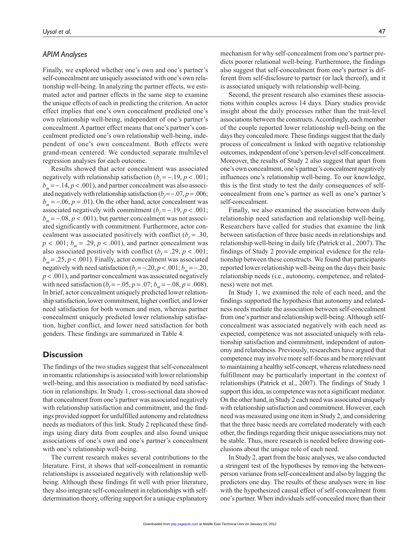# *APIM Analyses*

Finally, we explored whether one's own and one's partner's self-concealment are uniquely associated with one's own relationship well-being. In analyzing the partner effects, we estimated actor and partner effects in the same step to examine the unique effects of each in predicting the criterion. An actor effect implies that one's own concealment predicted one's own relationship well-being, independent of one's partner's concealment. A partner effect means that one's partner's concealment predicted one's own relationship well-being, independent of one's own concealment. Both effects were grand-mean centered. We conducted separate multilevel regression analyses for each outcome.

Results showed that actor concealment was associated negatively with relationship satisfaction  $(b_f = -.19, p < .001;$  $b_m = -0.14$ ,  $p < 0.001$ ), and partner concealment was also associated negatively with relationship satisfaction  $(b_f = -0.07, p = 0.006;$  $b_m = -0.06$ ,  $p = 0.01$ ). On the other hand, actor concealment was associated negatively with commitment  $(b_f = -.19, p < .001;$  $b_m = -.08, p < .001$ ), but partner concealment was not associated significantly with commitment. Furthermore, actor concealment was associated positively with conflict  $(b_f = .30,$  $p < .001$ ;  $b_m = .29$ ,  $p < .001$ ), and partner concealment was also associated positively with conflict  $(b_f = .29, p < .001)$ ;  $b_m = .25, p < .001$ ). Finally, actor concealment was associated negatively with need satisfaction  $(b_f = -.20, p < .001; b_m = -.20,$  $p < .001$ ), and partner concealment was associated negatively with need satisfaction  $(b_f = -.05, p = .07; b_m = -.08, p = .008)$ . In brief, actor concealment uniquely predicted lower relationship satisfaction, lower commitment, higher conflict, and lower need satisfaction for both women and men, whereas partner concealment uniquely predicted lower relationship satisfaction, higher conflict, and lower need satisfaction for both genders. These findings are summarized in Table 4.

# **Discussion**

The findings of the two studies suggest that self-concealment in romantic relationships is associated with lower relationship well-being, and this association is mediated by need satisfaction in relationships. In Study 1, cross-sectional data showed that concealment from one's partner was associated negatively with relationship satisfaction and commitment, and the findings provided support for unfulfilled autonomy and relatedness needs as mediators of this link. Study 2 replicated these findings using diary data from couples and also found unique associations of one's own and one's partner's concealment with one's relationship well-being.

The current research makes several contributions to the literature. First, it shows that self-concealment in romantic relationships is associated negatively with relationship wellbeing. Although these findings fit well with prior literature, they also integrate self-concealment in relationships with selfdetermination theory, offering support for a unique explanatory mechanism for why self-concealment from one's partner predicts poorer relational well-being. Furthermore, the findings also suggest that self-concealment from one's partner is different from self-disclosure to partner (or lack thereof), and it is associated uniquely with relationship well-being.

Second, the present research also examines these associations within couples across 14 days. Diary studies provide insight about the daily processes rather than the trait-level associations between the constructs. Accordingly, each member of the couple reported lower relationship well-being on the days they concealed more. These findings suggest that the daily process of concealment is linked with negative relationship outcomes, independent of one's person-level self-concealment. Moreover, the results of Study 2 also suggest that apart from one's own concealment, one's partner's concealment negatively influences one's relationship well-being. To our knowledge, this is the first study to test the daily consequences of selfconcealment from one's partner as well as one's partner's self-concealment.

Finally, we also examined the association between daily relationship need satisfaction and relationship well-being. Researchers have called for studies that examine the link between satisfaction of three basic needs in relationships and relationship well-being in daily life (Patrick et al., 2007). The findings of Study 2 provide empirical evidence for the relationship between these constructs. We found that participants reported lower relationship well-being on the days their basic relationship needs (i.e., autonomy, competence, and relatedness) were not met.

In Study 1, we examined the role of each need, and the findings supported the hypothesis that autonomy and relatedness needs mediate the association between self-concealment from one's partner and relationship well-being. Although selfconcealment was associated negatively with each need as expected, competence was not associated uniquely with relationship satisfaction and commitment, independent of autonomy and relatedness. Previously, researchers have argued that competence may involve more self-focus and be more relevant to maintaining a healthy self-concept, whereas relatedness need fulfillment may be particularly important in the context of relationships (Patrick et al., 2007). The findings of Study 1 support this idea, as competence was not a significant mediator. On the other hand, in Study 2 each need was associated uniquely with relationship satisfaction and commitment. However, each need was measured using one item in Study 2, and considering that the three basic needs are correlated moderately with each other, the findings regarding their unique associations may not be stable. Thus, more research is needed before drawing conclusions about the unique role of each need.

In Study 2, apart from the basic analyses, we also conducted a stringent test of the hypotheses by removing the betweenperson variance from self-concealment and also by lagging the predictors one day. The results of these analyses were in line with the hypothesized causal effect of self-concealment from one's partner. When individuals self-concealed more than their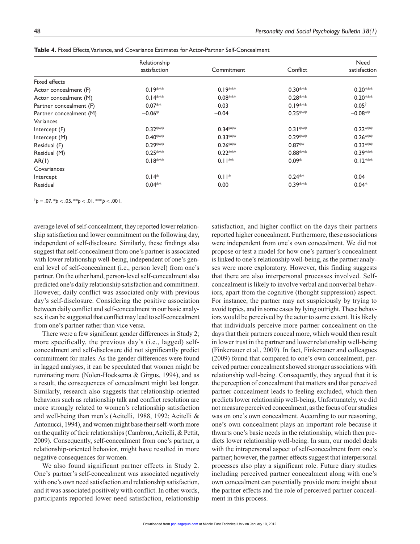|                         | Relationship |            |           | Need              |
|-------------------------|--------------|------------|-----------|-------------------|
|                         | satisfaction | Commitment | Conflict  | satisfaction      |
| Fixed effects           |              |            |           |                   |
| Actor concealment (F)   | $-0.19***$   | $-0.19***$ | $0.30***$ | $-0.20***$        |
| Actor concealment (M)   | $-0.14***$   | $-0.08***$ | $0.28***$ | $-0.20***$        |
| Partner concealment (F) | $-0.07**$    | $-0.03$    | $0.19***$ | $-0.05^{\dagger}$ |
| Partner concealment (M) | $-0.06*$     | $-0.04$    | $0.25***$ | $-0.08**$         |
| Variances               |              |            |           |                   |
| Intercept (F)           | $0.32***$    | $0.34***$  | $0.31***$ | $0.22***$         |
| Intercept (M)           | $0.40***$    | $0.33***$  | $0.29***$ | $0.26***$         |
| Residual (F)            | $0.29***$    | $0.26***$  | $0.87**$  | $0.33***$         |
| Residual (M)            | $0.25***$    | $0.22***$  | $0.88***$ | $0.39***$         |
| AR(1)                   | $0.18***$    | $0.11**$   | $0.09*$   | $0.12^{*}$        |
| Covariances             |              |            |           |                   |
| Intercept               | $0.14*$      | $0.11*$    | $0.24***$ | 0.04              |
| Residual                | $0.04***$    | 0.00       | $0.39***$ | $0.04*$           |

**Table 4.** Fixed Effects, Variance, and Covariance Estimates for Actor-Partner Self-Concealment

 $\phi^{\dagger}$ p = .07. \**p* < .05. \*\**p* < .01. \*\*\**p* < .001.

average level of self-concealment, they reported lower relationship satisfaction and lower commitment on the following day, independent of self-disclosure. Similarly, these findings also suggest that self-concealment from one's partner is associated with lower relationship well-being, independent of one's general level of self-concealment (i.e., person level) from one's partner. On the other hand, person-level self-concealment also predicted one's daily relationship satisfaction and commitment. However, daily conflict was associated only with previous day's self-disclosure. Considering the positive association between daily conflict and self-concealment in our basic analyses, it can be suggested that conflict may lead to self-concealment from one's partner rather than vice versa.

There were a few significant gender differences in Study 2; more specifically, the previous day's (i.e., lagged) selfconcealment and self-disclosure did not significantly predict commitment for males. As the gender differences were found in lagged analyses, it can be speculated that women might be ruminating more (Nolen-Hoeksema & Girgus, 1994), and as a result, the consequences of concealment might last longer. Similarly, research also suggests that relationship-oriented behaviors such as relationship talk and conflict resolution are more strongly related to women's relationship satisfaction and well-being than men's (Acitelli, 1988, 1992; Acitelli & Antonucci, 1994), and women might base their self-worth more on the quality of their relationships (Cambron, Acitelli, & Pettit, 2009). Consequently, self-concealment from one's partner, a relationship-oriented behavior, might have resulted in more negative consequences for women.

We also found significant partner effects in Study 2. One's partner's self-concealment was associated negatively with one's own need satisfaction and relationship satisfaction, and it was associated positively with conflict. In other words, participants reported lower need satisfaction, relationship satisfaction, and higher conflict on the days their partners reported higher concealment. Furthermore, these associations were independent from one's own concealment. We did not propose or test a model for how one's partner's concealment is linked to one's relationship well-being, as the partner analyses were more exploratory. However, this finding suggests that there are also interpersonal processes involved. Selfconcealment is likely to involve verbal and nonverbal behaviors, apart from the cognitive (thought suppression) aspect. For instance, the partner may act suspiciously by trying to avoid topics, and in some cases by lying outright. These behaviors would be perceived by the actor to some extent. It is likely that individuals perceive more partner concealment on the days that their partners conceal more, which would then result in lower trust in the partner and lower relationship well-being (Finkenauer et al., 2009). In fact, Finkenauer and colleagues (2009) found that compared to one's own concealment, perceived partner concealment showed stronger associations with relationship well-being. Consequently, they argued that it is the perception of concealment that matters and that perceived partner concealment leads to feeling excluded, which then predicts lower relationship well-being. Unfortunately, we did not measure perceived concealment, as the focus of our studies was on one's own concealment. According to our reasoning, one's own concealment plays an important role because it thwarts one's basic needs in the relationship, which then predicts lower relationship well-being. In sum, our model deals with the intrapersonal aspect of self-concealment from one's partner; however, the partner effects suggest that interpersonal processes also play a significant role. Future diary studies including perceived partner concealment along with one's own concealment can potentially provide more insight about the partner effects and the role of perceived partner concealment in this process.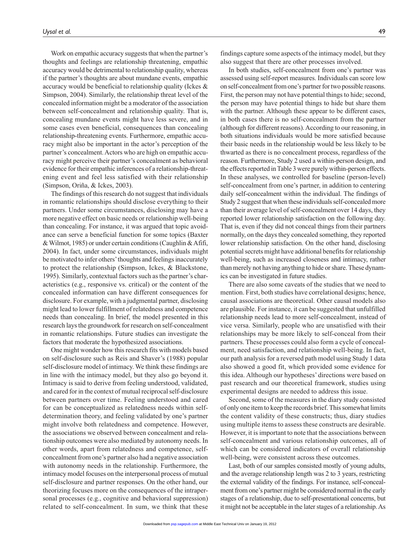Work on empathic accuracy suggests that when the partner's thoughts and feelings are relationship threatening, empathic accuracy would be detrimental to relationship quality, whereas if the partner's thoughts are about mundane events, empathic accuracy would be beneficial to relationship quality (Ickes & Simpson, 2004). Similarly, the relationship threat level of the concealed information might be a moderator of the association between self-concealment and relationship quality. That is, concealing mundane events might have less severe, and in some cases even beneficial, consequences than concealing relationship-threatening events. Furthermore, empathic accuracy might also be important in the actor's perception of the partner's concealment. Actors who are high on empathic accuracy might perceive their partner's concealment as behavioral evidence for their empathic inferences of a relationship-threatening event and feel less satisfied with their relationship (Simpson, Oriña, & Ickes, 2003).

The findings of this research do not suggest that individuals in romantic relationships should disclose everything to their partners. Under some circumstances, disclosing may have a more negative effect on basic needs or relationship well-being than concealing. For instance, it was argued that topic avoidance can serve a beneficial function for some topics (Baxter & Wilmot, 1985) or under certain conditions (Caughlin & Afifi, 2004). In fact, under some circumstances, individuals might be motivated to infer others' thoughts and feelings inaccurately to protect the relationship (Simpson, Ickes, & Blackstone, 1995). Similarly, contextual factors such as the partner's characteristics (e.g., responsive vs. critical) or the content of the concealed information can have different consequences for disclosure. For example, with a judgmental partner, disclosing might lead to lower fulfillment of relatedness and competence needs than concealing. In brief, the model presented in this research lays the groundwork for research on self-concealment in romantic relationships. Future studies can investigate the factors that moderate the hypothesized associations.

One might wonder how this research fits with models based on self-disclosure such as Reis and Shaver's (1988) popular self-disclosure model of intimacy. We think these findings are in line with the intimacy model, but they also go beyond it. Intimacy is said to derive from feeling understood, validated, and cared for in the context of mutual reciprocal self-disclosure between partners over time. Feeling understood and cared for can be conceptualized as relatedness needs within selfdetermination theory, and feeling validated by one's partner might involve both relatedness and competence. However, the associations we observed between concealment and relationship outcomes were also mediated by autonomy needs. In other words, apart from relatedness and competence, selfconcealment from one's partner also had a negative association with autonomy needs in the relationship. Furthermore, the intimacy model focuses on the interpersonal process of mutual self-disclosure and partner responses. On the other hand, our theorizing focuses more on the consequences of the intrapersonal processes (e.g., cognitive and behavioral suppression) related to self-concealment. In sum, we think that these

findings capture some aspects of the intimacy model, but they also suggest that there are other processes involved.

In both studies, self-concealment from one's partner was assessed using self-report measures. Individuals can score low on self-concealment from one's partner for two possible reasons. First, the person may not have potential things to hide; second, the person may have potential things to hide but share them with the partner. Although these appear to be different cases, in both cases there is no self-concealment from the partner (although for different reasons). According to our reasoning, in both situations individuals would be more satisfied because their basic needs in the relationship would be less likely to be thwarted as there is no concealment process, regardless of the reason. Furthermore, Study 2 used a within-person design, and the effects reported in Table 3 were purely within-person effects. In these analyses, we controlled for baseline (person-level) self-concealment from one's partner, in addition to centering daily self-concealment within the individual. The findings of Study 2 suggest that when these individuals self-concealed more than their average level of self-concealment over 14 days, they reported lower relationship satisfaction on the following day. That is, even if they did not conceal things from their partners normally, on the days they concealed something, they reported lower relationship satisfaction. On the other hand, disclosing potential secrets might have additional benefits for relationship well-being, such as increased closeness and intimacy, rather than merely not having anything to hide or share. These dynamics can be investigated in future studies.

There are also some caveats of the studies that we need to mention. First, both studies have correlational designs; hence, causal associations are theoretical. Other causal models also are plausible. For instance, it can be suggested that unfulfilled relationship needs lead to more self-concealment, instead of vice versa. Similarly, people who are unsatisfied with their relationships may be more likely to self-conceal from their partners. These processes could also form a cycle of concealment, need satisfaction, and relationship well-being. In fact, our path analysis for a reversed path model using Study 1 data also showed a good fit, which provided some evidence for this idea. Although our hypotheses' directions were based on past research and our theoretical framework, studies using experimental designs are needed to address this issue.

Second, some of the measures in the diary study consisted of only one item to keep the records brief. This somewhat limits the content validity of these constructs; thus, diary studies using multiple items to assess these constructs are desirable. However, it is important to note that the associations between self-concealment and various relationship outcomes, all of which can be considered indicators of overall relationship well-being, were consistent across these outcomes.

Last, both of our samples consisted mostly of young adults, and the average relationship length was 2 to 3 years, restricting the external validity of the findings. For instance, self-concealment from one's partner might be considered normal in the early stages of a relationship, due to self-presentational concerns, but it might not be acceptable in the later stages of a relationship. As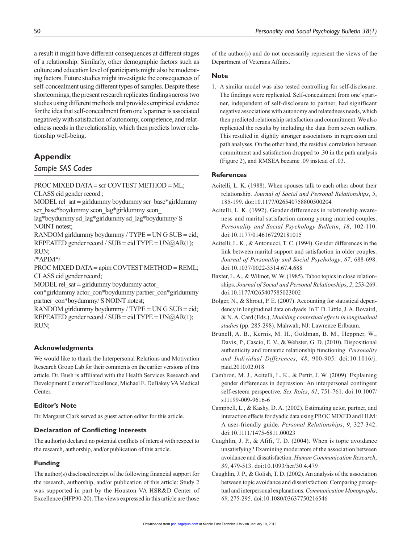a result it might have different consequences at different stages of a relationship. Similarly, other demographic factors such as culture and education level of participants might also be moderating factors. Future studies might investigate the consequences of self-concealment using different types of samples. Despite these shortcomings, the present research replicates findings across two studies using different methods and provides empirical evidence for the idea that self-concealment from one's partner is associated negatively with satisfaction of autonomy, competence, and relatedness needs in the relationship, which then predicts lower relationship well-being.

# **Appendix**

# *Sample SAS Codes*

PROC MIXED DATA = scr COVTEST METHOD = ML; CLASS cid gender record ;

MODEL rel\_sat = girldummy boydummy scr\_base\*girldummy scr\_base\*boydummy scon\_lag\*girldummy scon

lag\*boydummy sd\_lag\*girldummy sd\_lag\*boydummy/ S NOINT notest;

RANDOM girldummy boydummy /  $\text{TYPE} = \text{UN G SUB} = \text{cid};$ REPEATED gender record / SUB = cid TYPE =  $UN@AR(1)$ ; RUN;

/\*APIM\*/

PROC MIXED DATA = apim COVTEST METHOD = REML; CLASS cid gender record;

MODEL rel\_sat = girldummy boydummy actor

con\*girldummy actor\_con\*boydummy partner\_con\*girldummy partner\_con\*boydummy/ S NOINT notest;

RANDOM girldummy boydummy / TYPE = UN G SUB = cid; REPEATED gender record / SUB = cid TYPE =  $UN@AR(1)$ ; RUN;

#### **Acknowledgments**

We would like to thank the Interpersonal Relations and Motivation Research Group Lab for their comments on the earlier versions of this article. Dr. Bush is affiliated with the Health Services Research and Development Center of Excellence, Michael E. DeBakey VA Medical Center.

#### **Editor's Note**

Dr. Margaret Clark served as guest action editor for this article.

#### **Declaration of Conflicting Interests**

The author(s) declared no potential conflicts of interest with respect to the research, authorship, and/or publication of this article.

#### **Funding**

The author(s) disclosed receipt of the following financial support for the research, authorship, and/or publication of this article: Study 2 was supported in part by the Houston VA HSR&D Center of Excellence (HFP90-20). The views expressed in this article are those of the author(s) and do not necessarily represent the views of the Department of Veterans Affairs.

#### **Note**

1. A similar model was also tested controlling for self-disclosure. The findings were replicated. Self-concealment from one's partner, independent of self-disclosure to partner, had significant negative associations with autonomy and relatedness needs, which then predicted relationship satisfaction and commitment. We also replicated the results by including the data from seven outliers. This resulted in slightly stronger associations in regression and path analyses. On the other hand, the residual correlation between commitment and satisfaction dropped to .30 in the path analysis (Figure 2), and RMSEA became .09 instead of .03.

#### **References**

- Acitelli, L. K. (1988). When spouses talk to each other about their relationship. *Journal of Social and Personal Relationships*, *5*, 185-199. doi:10.1177/026540758800500204
- Acitelli, L. K. (1992). Gender differences in relationship awareness and marital satisfaction among young married couples. *Personality and Social Psychology Bulletin*, *18*, 102-110. doi:10.1177/0146167292181015
- Acitelli, L. K., & Antonucci, T. C. (1994). Gender differences in the link between marital support and satisfaction in older couples. *Journal of Personality and Social Psychology*, *67*, 688-698. doi:10.1037/0022-3514.67.4.688
- Baxter, L. A., & Wilmot, W. W. (1985). Taboo topics in close relationships. *Journal of Social and Personal Relationships*, *2*, 253-269. doi:10.1177/0265407585023002
- Bolger, N., & Shrout, P. E. (2007). Accounting for statistical dependency in longitudinal data on dyads. In T. D. Little, J. A. Bovaird, & N. A. Card (Eds.), *Modeling contextual effects in longitudinal studies* (pp. 285-298). Mahwah, NJ: Lawrence Erlbaum.
- Brunell, A. B., Kernis, M. H., Goldman, B. M., Heppner, W., Davis, P., Cascio, E. V., & Webster, G. D. (2010). Dispositional authenticity and romantic relationship functioning. *Personality and Individual Differences*, *48*, 900-905. doi:10.1016/j. paid.2010.02.018
- Cambron, M. J., Acitelli, L. K., & Pettit, J. W. (2009). Explaining gender differences in depression: An interpersonal contingent self-esteem perspective*. Sex Roles*, *61*, 751-761. doi:10.1007/ s11199-009-9616-6
- Campbell, L., & Kashy, D. A. (2002). Estimating actor, partner, and interaction effects for dyadic data using PROC MIXED and HLM: A user-friendly guide. *Personal Relationships*, *9*, 327-342. doi:10.1111/1475-6811.00023
- Caughlin, J. P., & Afifi, T. D. (2004). When is topic avoidance unsatisfying? Examining moderators of the association between avoidance and dissatisfaction. *Human Communication Research*, *30*, 479-513. doi:10.1093/hcr/30.4.479
- Caughlin, J. P., & Golish, T. D. (2002). An analysis of the association between topic avoidance and dissatisfaction: Comparing perceptual and interpersonal explanations. *Communication Monographs*, *69*, 275-295. doi:10.1080/03637750216546